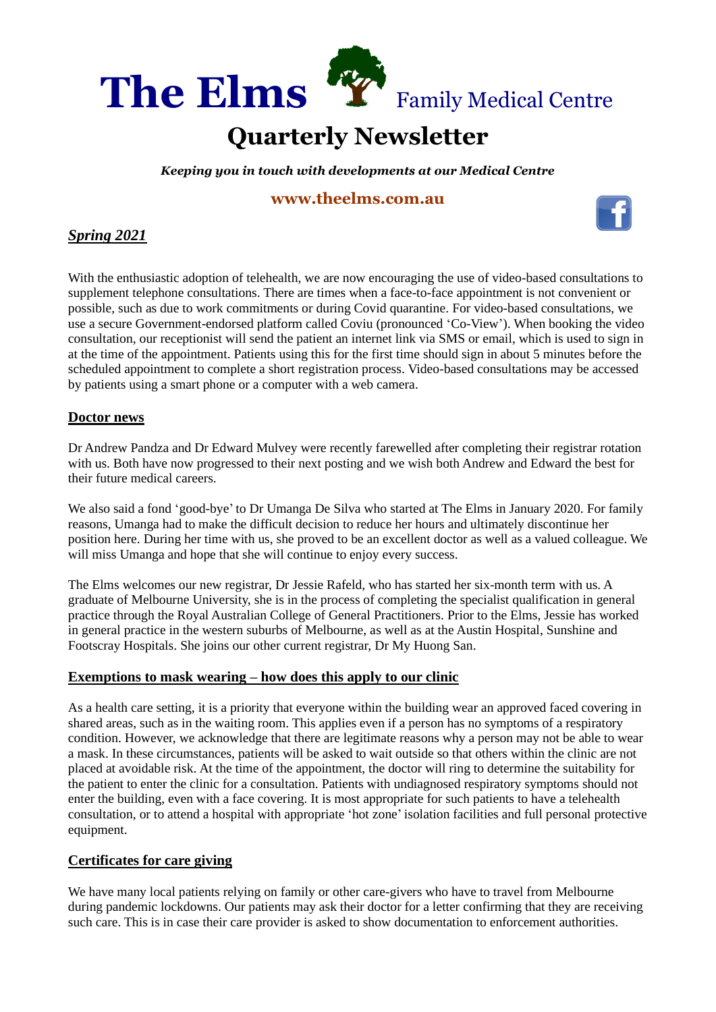

#### **Quarterly Newsletter** . . .

*Keeping you in touch with developments at our Medical Centre* QU

# **[www.theelms.com.au](http://www.theelms.com.au/)** AR



## *Spring 2021*

With the enthusiastic adoption of telehealth, we are now encouraging the use of video-based consultations to supplement telephone consultations. There are times when a face-to-face appointment is not convenient or possible, such as due to work commitments or during Covid quarantine. For video-based consultations, we use a secure Government-endorsed platform called Coviu (pronounced 'Co-View'). When booking the video consultation, our receptionist will send the patient an internet link via SMS or email, which is used to sign in at the time of the appointment. Patients using this for the first time should sign in about 5 minutes before the scheduled appointment to complete a short registration process. Video-based consultations may be accessed by patients using a smart phone or a computer with a web camera.

#### **Doctor news**

Dr Andrew Pandza and Dr Edward Mulvey were recently farewelled after completing their registrar rotation with us. Both have now progressed to their next posting and we wish both Andrew and Edward the best for their future medical careers.

We also said a fond 'good-bye' to Dr Umanga De Silva who started at The Elms in January 2020. For family reasons, Umanga had to make the difficult decision to reduce her hours and ultimately discontinue her position here. During her time with us, she proved to be an excellent doctor as well as a valued colleague. We will miss Umanga and hope that she will continue to enjoy every success.

The Elms welcomes our new registrar, Dr Jessie Rafeld, who has started her six-month term with us. A graduate of Melbourne University, she is in the process of completing the specialist qualification in general practice through the Royal Australian College of General Practitioners. Prior to the Elms, Jessie has worked in general practice in the western suburbs of Melbourne, as well as at the Austin Hospital, Sunshine and Footscray Hospitals. She joins our other current registrar, Dr My Huong San.

#### **Exemptions to mask wearing – how does this apply to our clinic**

As a health care setting, it is a priority that everyone within the building wear an approved faced covering in shared areas, such as in the waiting room. This applies even if a person has no symptoms of a respiratory condition. However, we acknowledge that there are legitimate reasons why a person may not be able to wear a mask. In these circumstances, patients will be asked to wait outside so that others within the clinic are not placed at avoidable risk. At the time of the appointment, the doctor will ring to determine the suitability for the patient to enter the clinic for a consultation. Patients with undiagnosed respiratory symptoms should not enter the building, even with a face covering. It is most appropriate for such patients to have a telehealth consultation, or to attend a hospital with appropriate 'hot zone' isolation facilities and full personal protective equipment.

### **Certificates for care giving**

We have many local patients relying on family or other care-givers who have to travel from Melbourne during pandemic lockdowns. Our patients may ask their doctor for a letter confirming that they are receiving such care. This is in case their care provider is asked to show documentation to enforcement authorities.